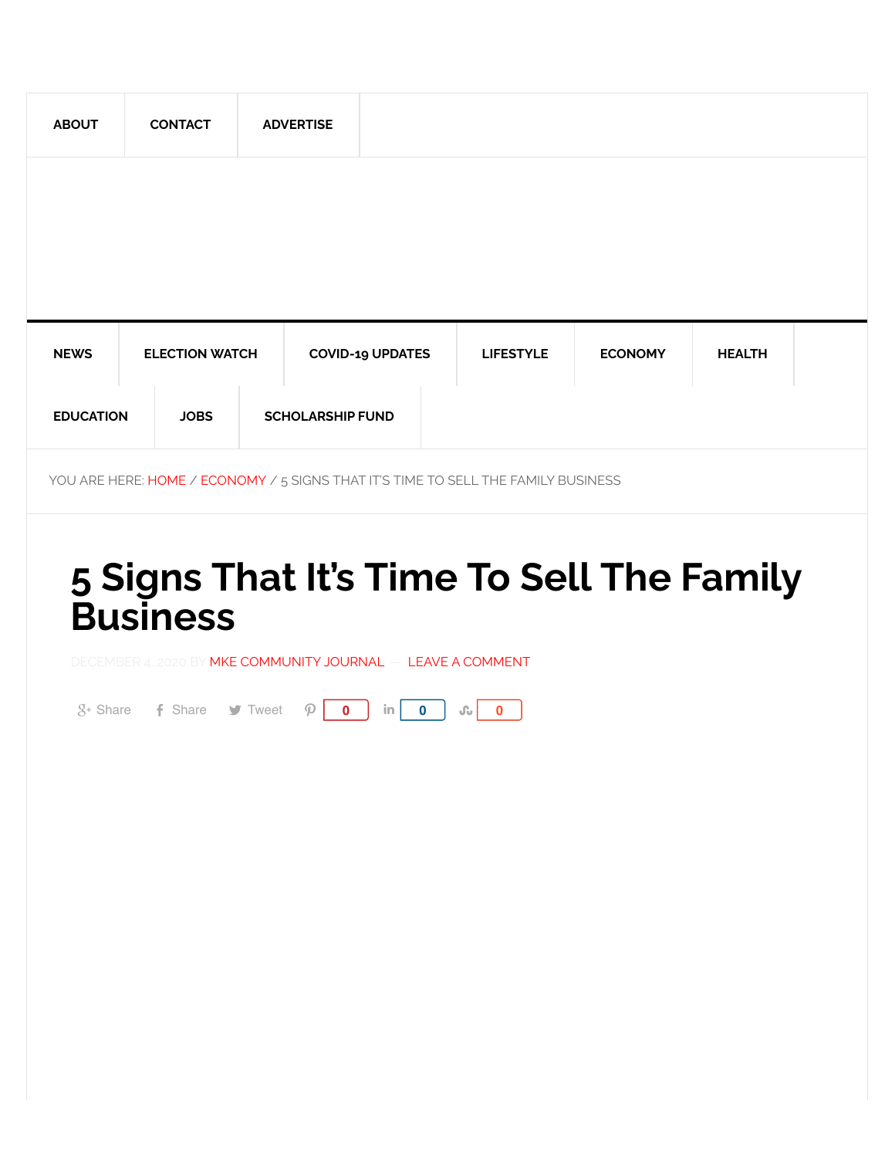| <b>ABOUT</b>     | <b>CONTACT</b>        |             |  | <b>ADVERTISE</b>        |                  |                |               |  |
|------------------|-----------------------|-------------|--|-------------------------|------------------|----------------|---------------|--|
|                  |                       |             |  |                         |                  |                |               |  |
|                  |                       |             |  |                         |                  |                |               |  |
|                  |                       |             |  |                         |                  |                |               |  |
| <b>NEWS</b>      | <b>ELECTION WATCH</b> |             |  | <b>COVID-19 UPDATES</b> | <b>LIFESTYLE</b> | <b>ECONOMY</b> | <b>HEALTH</b> |  |
| <b>EDUCATION</b> |                       | <b>JOBS</b> |  | <b>SCHOLARSHIP FUND</b> |                  |                |               |  |

YOU ARE HERE: [HOME](https://communityjournal.net/) / [ECONOMY](https://communityjournal.net/category/money/) / 5 SIGNS THAT IT'S TIME TO SELL THE FAMILY BUSINESS

## **5 Signs That It's Time To Sell The Family Business**

DECEMBER 4, 2020 BY [MKE COMMUNITY JOURNAL](https://communityjournal.net/author/mcjatlanta/) — LEAVE A COMMENT

 $S<sup>+</sup>$  [Share](https://communityjournal.net/5-signs-that-its-time-to-sell-the-family-business-2/#) **F** Share **o** [Tweet](https://communityjournal.net/5-signs-that-its-time-to-sell-the-family-business-2/#)  $\varphi$  **0** in **0**  $\omega$  **0**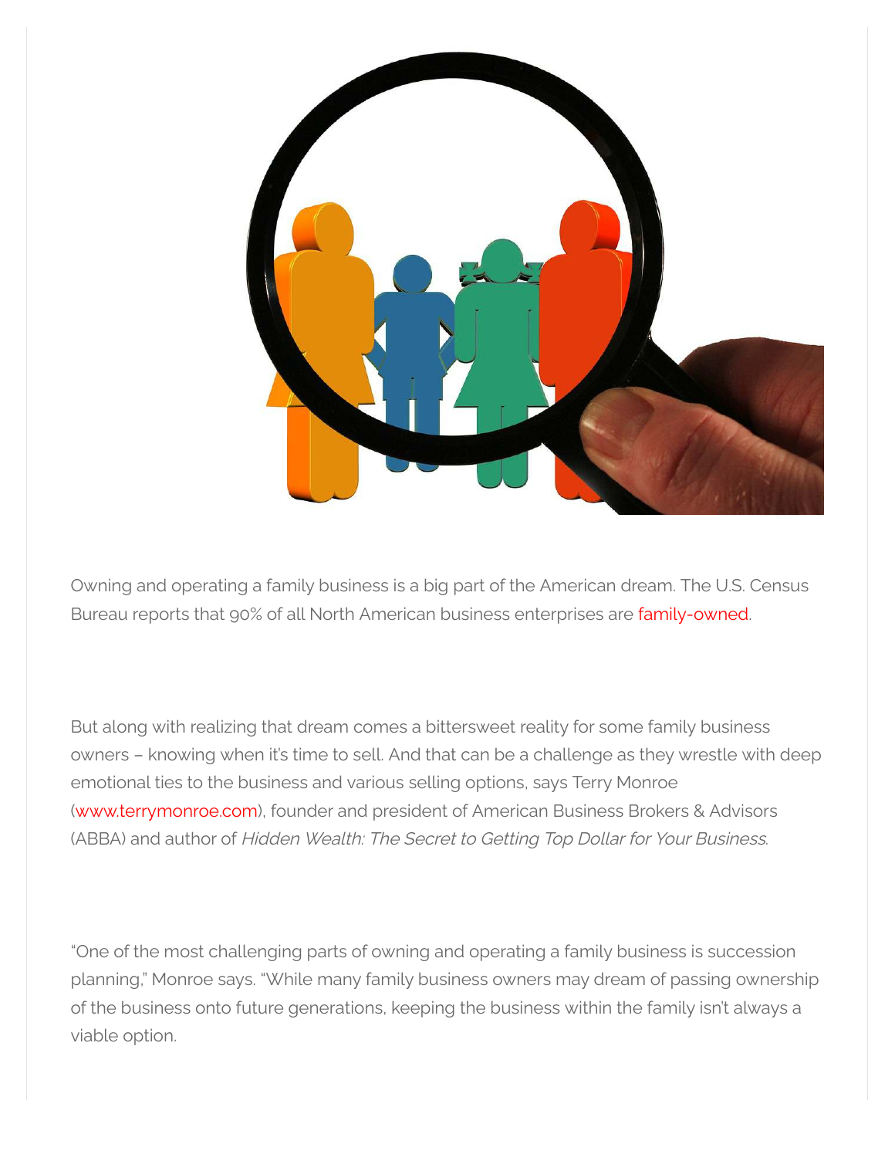

Owning and operating a family business is a big part of the American dream. The U.S. Census Bureau reports that 90% of all North American business enterprises are [family-owned](https://u7061146.ct.sendgrid.net/ls/click?upn=4tNED-2FM8iDZJQyQ53jATUXR4C3-2Fo1JCWowJPXZAhZ61A9sFihfc0qVKVpX1wIzONNFmoMaQhSmPyFsN8ZcQffT2nIJB9U8CK1OEiTthiUj8-3DGFz-_O3XWFiAdWrzzrOIt72qAuMlqzgZFlVA9rFdrpvV9L6nN-2FFLxkN7ZCmFUbRvfKcj0TgXu4dg-2FD1nlu-2B6r7bshaaLxzEVzn79-2BV2MNS-2FbwJr-2FmYwzADWe-2BuqWo20h7MB3h8sxwOfJiS-2BrRL9uGXYdjFWocp6hriDYacZa-2B7xUzJqXNzSOVvrZK66F8oE3UfOHxRdmiKgPmeZqZITrtlfhs-2BM1XLtsFiD7NqcWE5ANM7oZ5FRncmvqzIRc64nt7412ERNLC75h28gAzISbc-2FHXGIjdKAkATnC3Q1YARVHVAAckNjgrY-2B1Jiq0kr6hOH9dODEsCYswSEzD2uzRvE0ZGvfnIC66Z3-2FAOjXZJL4gelOmpY6Hu-2BNAP1JWYiwjWKOQ3X).

But along with realizing that dream comes a bittersweet reality for some family business owners – knowing when it's time to sell. And that can be a challenge as they wrestle with deep emotional ties to the business and various selling options, says Terry Monroe ([www.terrymonroe.com](https://u7061146.ct.sendgrid.net/ls/click?upn=TeZUXWpUv-2B6TCY38pVLo9rO9XhQ541XUqBv8G3i2V-2BCrlRYNebq2WNEgkCLqwXSOqCh4_O3XWFiAdWrzzrOIt72qAuMlqzgZFlVA9rFdrpvV9L6nN-2FFLxkN7ZCmFUbRvfKcj0TgXu4dg-2FD1nlu-2B6r7bshaaLxzEVzn79-2BV2MNS-2FbwJr-2FmYwzADWe-2BuqWo20h7MB3h8sxwOfJiS-2BrRL9uGXYdjFWocp6hriDYacZa-2B7xUzJqXNzSOVvrZK66F8oE3UfOHxRdmiKgPmeZqZITrtlfhs-2BM1XLtsFiD7NqcWE5ANM7obg73-2FDuNmFMgn-2BpnDBi1J87PmyihOUYiScevFl0tz6Jp373EsXFY-2FievxJcULBbDIIPu2hSsmkwLOotihvsnQLEqtTJVOsdW2eIDjVV-2FM6kw8OT-2BPHROSy5uvJHoQ0g6CCMrUzLdEk4VnqWAkuX-2BPp)), founder and president of American Business Brokers & Advisors (ABBA) and author of Hidden Wealth: The Secret to Getting Top Dollar for Your Business.

"One of the most challenging parts of owning and operating a family business is succession planning," Monroe says. "While many family business owners may dream of passing ownership of the business onto future generations, keeping the business within the family isn't always a viable option.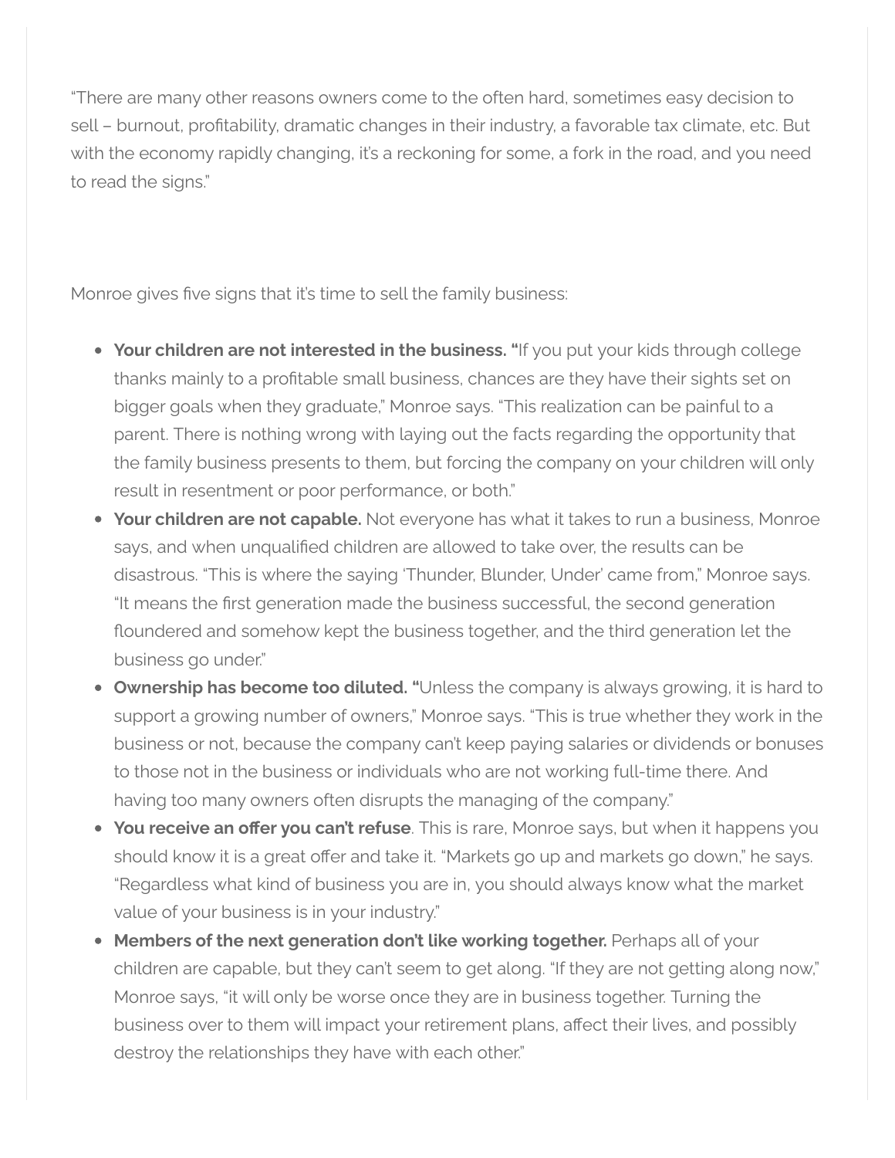"There are many other reasons owners come to the often hard, sometimes easy decision to sell – burnout, profitability, dramatic changes in their industry, a favorable tax climate, etc. But with the economy rapidly changing, it's a reckoning for some, a fork in the road, and you need to read the signs."

Monroe gives five signs that it's time to sell the family business:

- **Your children are not interested in the business.** "If you put your kids through college thanks mainly to a profitable small business, chances are they have their sights set on bigger goals when they graduate," Monroe says. "This realization can be painful to a parent. There is nothing wrong with laying out the facts regarding the opportunity that the family business presents to them, but forcing the company on your children will only result in resentment or poor performance, or both."
- **Your children are not capable.** Not everyone has what it takes to run a business, Monroe says, and when unqualified children are allowed to take over, the results can be disastrous. "This is where the saying 'Thunder, Blunder, Under' came from," Monroe says. "It means the first generation made the business successful, the second generation floundered and somehow kept the business together, and the third generation let the business go under."
- **Ownership has become too diluted. "**Unless the company is always growing, it is hard to support a growing number of owners," Monroe says. "This is true whether they work in the business or not, because the company can't keep paying salaries or dividends or bonuses to those not in the business or individuals who are not working full-time there. And having too many owners often disrupts the managing of the company."
- **You receive an offer you can't refuse**. This is rare, Monroe says, but when it happens you should know it is a great offer and take it. "Markets go up and markets go down," he says. "Regardless what kind of business you are in, you should always know what the market value of your business is in your industry."
- **Members of the next generation don't like working together.** Perhaps all of your children are capable, but they can't seem to get along. "If they are not getting along now," Monroe says, "it will only be worse once they are in business together. Turning the business over to them will impact your retirement plans, affect their lives, and possibly destroy the relationships they have with each other."